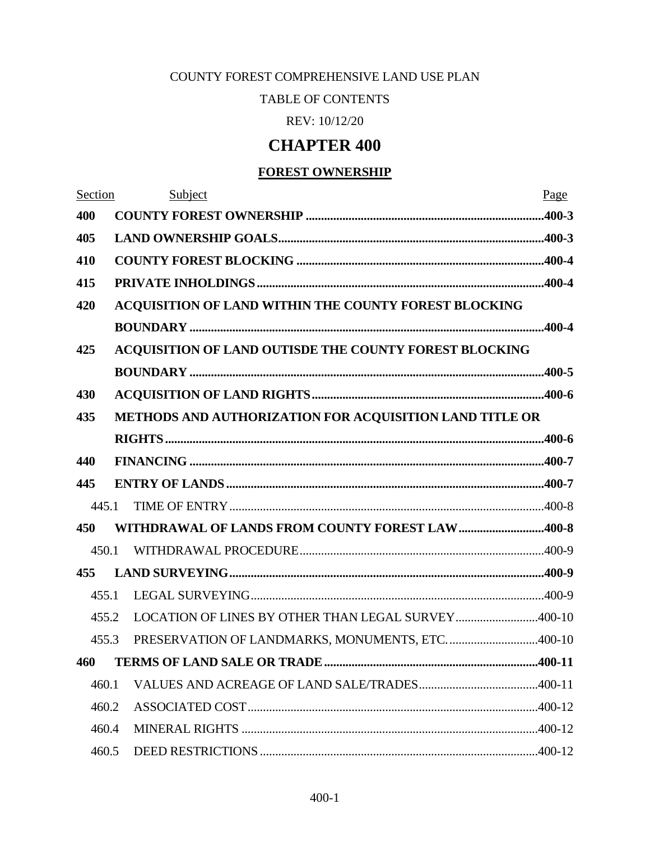# COUNTY FOREST COMPREHENSIVE LAND USE PLAN

TABLE OF CONTENTS

REV: 10/12/20

# **CHAPTER 400**

# **FOREST OWNERSHIP**

| Section |                                                         | Subject                                                | Page   |
|---------|---------------------------------------------------------|--------------------------------------------------------|--------|
| 400     |                                                         |                                                        |        |
| 405     |                                                         |                                                        |        |
| 410     |                                                         |                                                        |        |
| 415     |                                                         |                                                        |        |
| 420     |                                                         | ACQUISITION OF LAND WITHIN THE COUNTY FOREST BLOCKING  |        |
|         |                                                         |                                                        |        |
| 425     |                                                         | ACQUISITION OF LAND OUTISDE THE COUNTY FOREST BLOCKING |        |
|         |                                                         |                                                        |        |
| 430     |                                                         |                                                        |        |
| 435     | METHODS AND AUTHORIZATION FOR ACQUISITION LAND TITLE OR |                                                        |        |
|         |                                                         |                                                        |        |
| 440     |                                                         |                                                        |        |
| 445     |                                                         |                                                        |        |
| 445.1   |                                                         |                                                        |        |
| 450     |                                                         | WITHDRAWAL OF LANDS FROM COUNTY FOREST LAW400-8        |        |
| 450.1   |                                                         |                                                        |        |
| 455     |                                                         |                                                        |        |
| 455.1   |                                                         |                                                        |        |
| 455.2   |                                                         | LOCATION OF LINES BY OTHER THAN LEGAL SURVEY400-10     |        |
| 455.3   |                                                         | PRESERVATION OF LANDMARKS, MONUMENTS, ETC400-10        |        |
|         |                                                         | 460 TERMS OF LAND SALE OR TRADE.                       | 400-11 |
| 460.1   |                                                         |                                                        |        |
| 460.2   |                                                         |                                                        |        |
| 460.4   |                                                         |                                                        |        |
| 460.5   |                                                         |                                                        |        |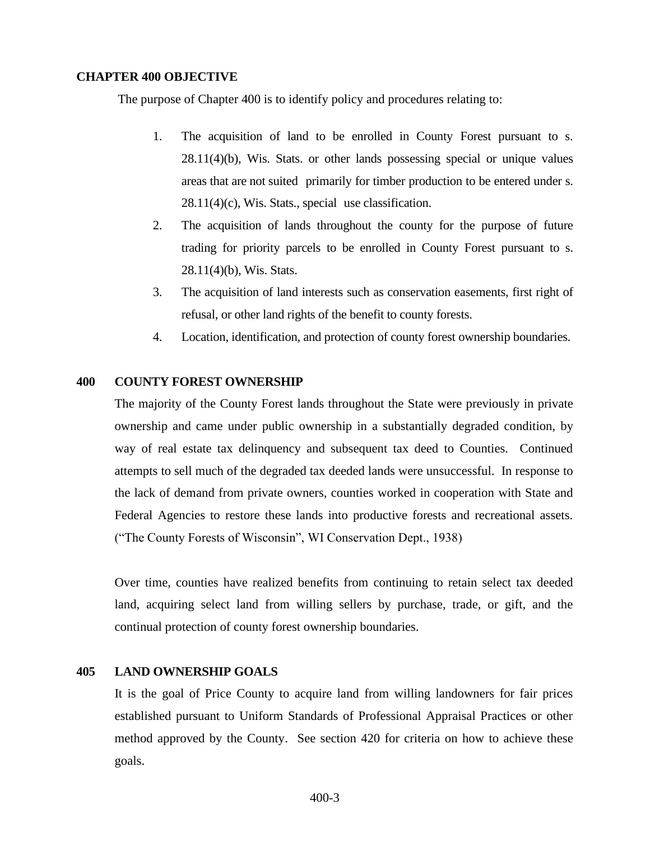#### **CHAPTER 400 OBJECTIVE**

The purpose of Chapter 400 is to identify policy and procedures relating to:

- 1. The acquisition of land to be enrolled in County Forest pursuant to s. 28.11(4)(b), Wis. Stats. or other lands possessing special or unique values areas that are not suited primarily for timber production to be entered under s.  $28.11(4)$ (c), Wis. Stats., special use classification.
- 2. The acquisition of lands throughout the county for the purpose of future trading for priority parcels to be enrolled in County Forest pursuant to s. 28.11(4)(b), Wis. Stats.
- 3. The acquisition of land interests such as conservation easements, first right of refusal, or other land rights of the benefit to county forests.
- 4. Location, identification, and protection of county forest ownership boundaries.

# <span id="page-2-0"></span>**400 COUNTY FOREST OWNERSHIP**

The majority of the County Forest lands throughout the State were previously in private ownership and came under public ownership in a substantially degraded condition, by way of real estate tax delinquency and subsequent tax deed to Counties. Continued attempts to sell much of the degraded tax deeded lands were unsuccessful. In response to the lack of demand from private owners, counties worked in cooperation with State and Federal Agencies to restore these lands into productive forests and recreational assets. ("The County Forests of Wisconsin", WI Conservation Dept., 1938)

Over time, counties have realized benefits from continuing to retain select tax deeded land, acquiring select land from willing sellers by purchase, trade, or gift, and the continual protection of county forest ownership boundaries.

## <span id="page-2-1"></span>**405 LAND OWNERSHIP GOALS**

It is the goal of Price County to acquire land from willing landowners for fair prices established pursuant to Uniform Standards of Professional Appraisal Practices or other method approved by the County. See section 420 for criteria on how to achieve these goals.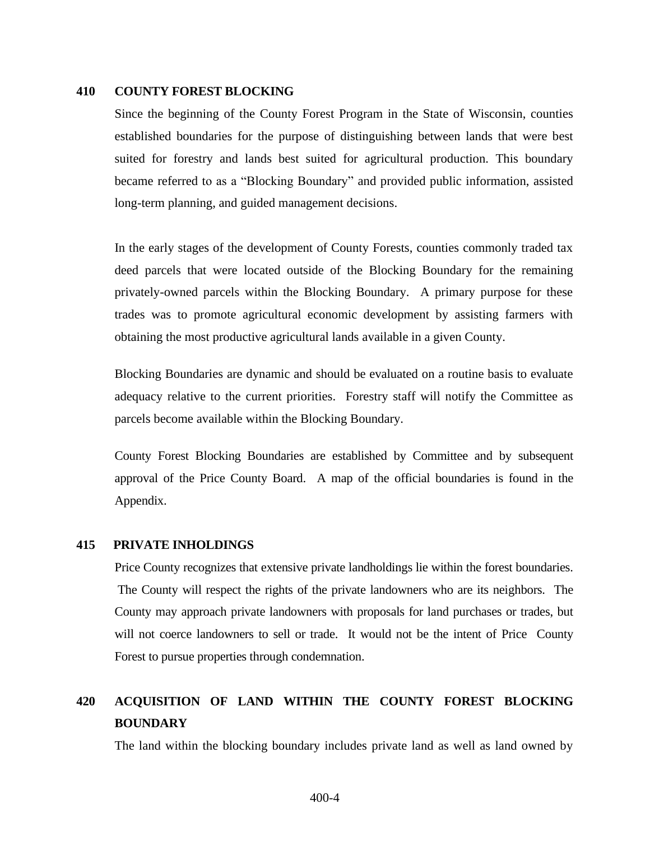#### <span id="page-3-0"></span>**410 COUNTY FOREST BLOCKING**

Since the beginning of the County Forest Program in the State of Wisconsin, counties established boundaries for the purpose of distinguishing between lands that were best suited for forestry and lands best suited for agricultural production. This boundary became referred to as a "Blocking Boundary" and provided public information, assisted long-term planning, and guided management decisions.

In the early stages of the development of County Forests, counties commonly traded tax deed parcels that were located outside of the Blocking Boundary for the remaining privately-owned parcels within the Blocking Boundary. A primary purpose for these trades was to promote agricultural economic development by assisting farmers with obtaining the most productive agricultural lands available in a given County.

Blocking Boundaries are dynamic and should be evaluated on a routine basis to evaluate adequacy relative to the current priorities. Forestry staff will notify the Committee as parcels become available within the Blocking Boundary.

County Forest Blocking Boundaries are established by Committee and by subsequent approval of the Price County Board. A map of the official boundaries is found in the Appendix.

#### <span id="page-3-1"></span>**415 PRIVATE INHOLDINGS**

Price County recognizes that extensive private landholdings lie within the forest boundaries. The County will respect the rights of the private landowners who are its neighbors. The County may approach private landowners with proposals for land purchases or trades, but will not coerce landowners to sell or trade. It would not be the intent of Price County Forest to pursue properties through condemnation.

# <span id="page-3-2"></span>**420 ACQUISITION OF LAND WITHIN THE COUNTY FOREST BLOCKING BOUNDARY**

The land within the blocking boundary includes private land as well as land owned by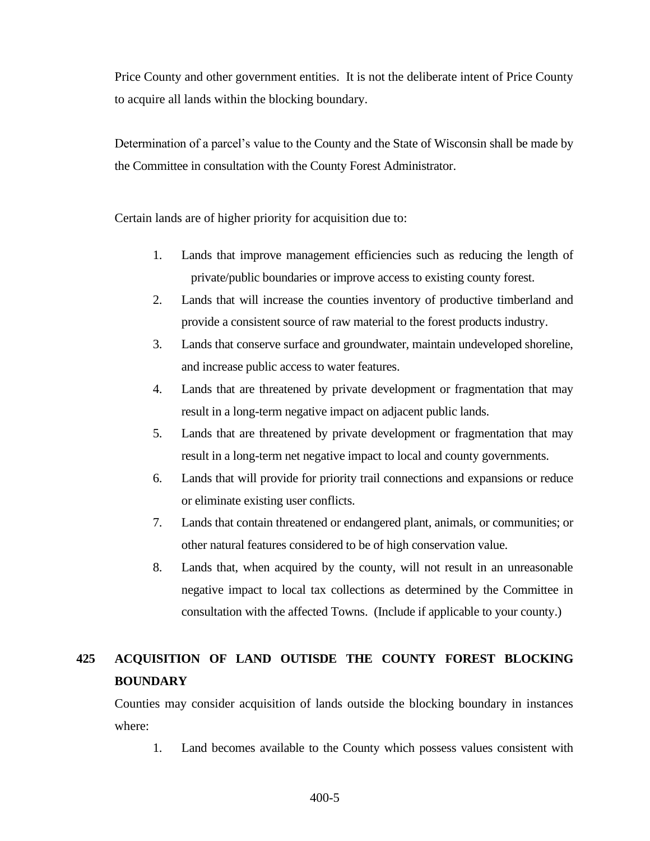Price County and other government entities. It is not the deliberate intent of Price County to acquire all lands within the blocking boundary.

Determination of a parcel's value to the County and the State of Wisconsin shall be made by the Committee in consultation with the County Forest Administrator.

Certain lands are of higher priority for acquisition due to:

- 1. Lands that improve management efficiencies such as reducing the length of private/public boundaries or improve access to existing county forest.
- 2. Lands that will increase the counties inventory of productive timberland and provide a consistent source of raw material to the forest products industry.
- 3. Lands that conserve surface and groundwater, maintain undeveloped shoreline, and increase public access to water features.
- 4. Lands that are threatened by private development or fragmentation that may result in a long-term negative impact on adjacent public lands.
- 5. Lands that are threatened by private development or fragmentation that may result in a long-term net negative impact to local and county governments.
- 6. Lands that will provide for priority trail connections and expansions or reduce or eliminate existing user conflicts.
- 7. Lands that contain threatened or endangered plant, animals, or communities; or other natural features considered to be of high conservation value.
- 8. Lands that, when acquired by the county, will not result in an unreasonable negative impact to local tax collections as determined by the Committee in consultation with the affected Towns. (Include if applicable to your county.)

# <span id="page-4-0"></span>**425 ACQUISITION OF LAND OUTISDE THE COUNTY FOREST BLOCKING BOUNDARY**

Counties may consider acquisition of lands outside the blocking boundary in instances where:

1. Land becomes available to the County which possess values consistent with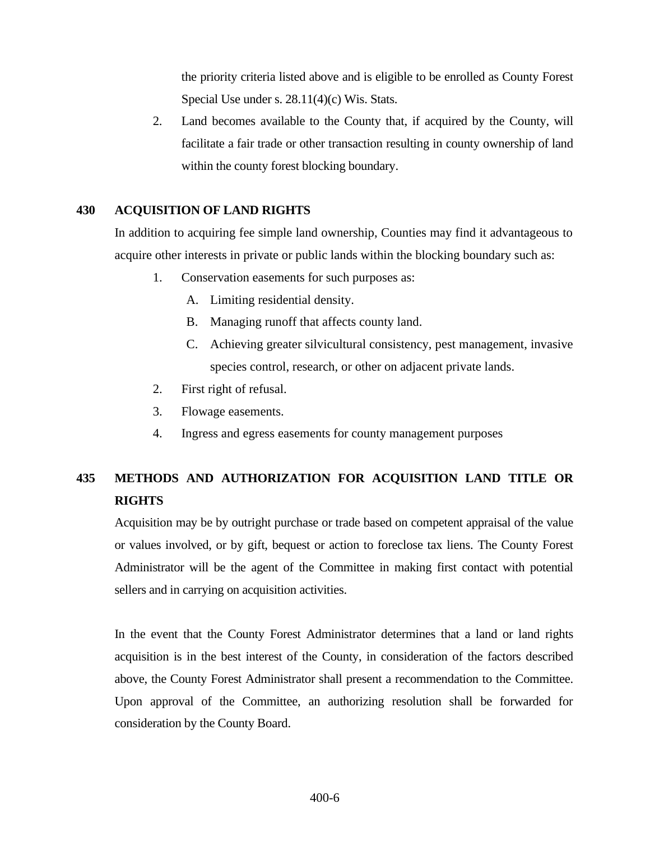the priority criteria listed above and is eligible to be enrolled as County Forest Special Use under s. 28.11(4)(c) Wis. Stats.

2. Land becomes available to the County that, if acquired by the County, will facilitate a fair trade or other transaction resulting in county ownership of land within the county forest blocking boundary.

# <span id="page-5-0"></span>**430 ACQUISITION OF LAND RIGHTS**

In addition to acquiring fee simple land ownership, Counties may find it advantageous to acquire other interests in private or public lands within the blocking boundary such as:

- 1. Conservation easements for such purposes as:
	- A. Limiting residential density.
	- B. Managing runoff that affects county land.
	- C. Achieving greater silvicultural consistency, pest management, invasive species control, research, or other on adjacent private lands.
- 2. First right of refusal.
- 3. Flowage easements.
- 4. Ingress and egress easements for county management purposes

# <span id="page-5-1"></span>**435 METHODS AND AUTHORIZATION FOR ACQUISITION LAND TITLE OR RIGHTS**

Acquisition may be by outright purchase or trade based on competent appraisal of the value or values involved, or by gift, bequest or action to foreclose tax liens. The County Forest Administrator will be the agent of the Committee in making first contact with potential sellers and in carrying on acquisition activities.

In the event that the County Forest Administrator determines that a land or land rights acquisition is in the best interest of the County, in consideration of the factors described above, the County Forest Administrator shall present a recommendation to the Committee. Upon approval of the Committee, an authorizing resolution shall be forwarded for consideration by the County Board.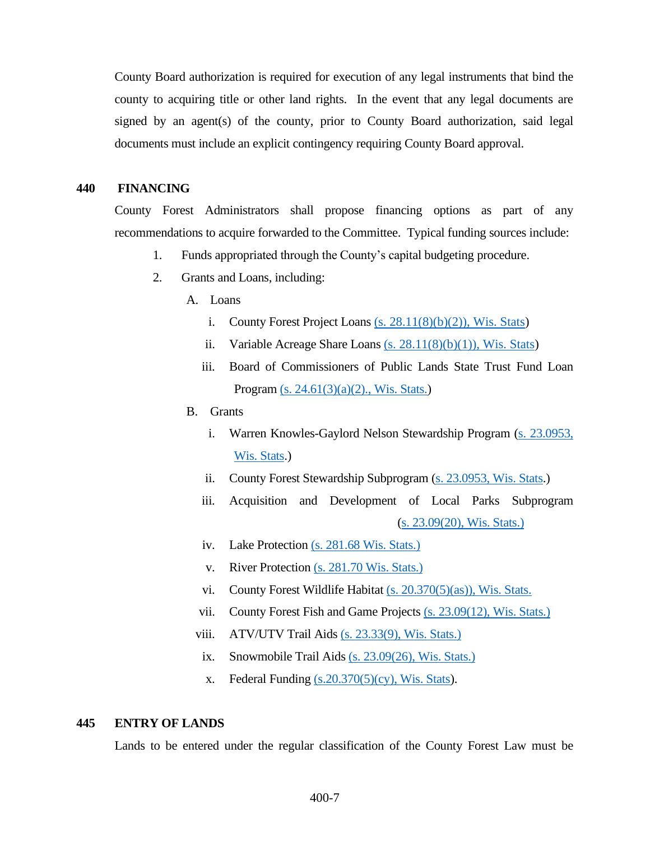County Board authorization is required for execution of any legal instruments that bind the county to acquiring title or other land rights. In the event that any legal documents are signed by an agent(s) of the county, prior to County Board authorization, said legal documents must include an explicit contingency requiring County Board approval.

## <span id="page-6-0"></span>**440 FINANCING**

County Forest Administrators shall propose financing options as part of any recommendations to acquire forwarded to the Committee. Typical funding sources include:

- 1. Funds appropriated through the County's capital budgeting procedure.
- 2. Grants and Loans, including:
	- A. Loans
		- i. County Forest Project Loans  $(s. 28.11(8)(b)(2))$ , Wis. Stats)
		- ii. Variable Acreage Share Loans  $(s. 28.11(8)(b)(1))$ , Wis. Stats)
		- iii. Board of Commissioners of Public Lands State Trust Fund Loan Program [\(s. 24.61\(3\)\(a\)\(2\)., Wis. Stats.\)](http://docs.legis.wisconsin.gov/statutes/statutes/24/II/61/3/a/2)
	- B. Grants
		- i. Warren Knowles-Gaylord Nelson Stewardship Program [\(s. 23.0953,](http://docs.legis.wisconsin.gov/statutes/statutes/23/0953)  Wis. [Stats.](http://docs.legis.wisconsin.gov/statutes/statutes/23/0953))
		- ii. County Forest Stewardship Subprogram [\(s. 23.0953, Wis. Stats.](http://docs.legis.wisconsin.gov/statutes/statutes/23/0953))
		- iii. Acquisition and Development of Local Parks Subprogram [\(s. 23.09\(20\), Wis. Stats.\)](http://docs.legis.wisconsin.gov/statutes/statutes/23/09/20)
		- iv. Lake Protection [\(s. 281.68 Wis. Stats.\)](http://docs.legis.wisconsin.gov/statutes/statutes/281/V/68)
		- v. River Protection [\(s. 281.70 Wis. Stats.\)](http://docs.legis.wisconsin.gov/statutes/statutes/281/V/70)
		- vi. County Forest Wildlife Habitat [\(s. 20.370\(5\)\(as\)\), Wis. Stats.](http://docs.legis.wisconsin.gov/statutes/statutes/20/IV/370/5/as)
		- vii. County Forest Fish and Game Projects [\(s. 23.09\(12\), Wis. Stats.\)](http://docs.legis.wisconsin.gov/statutes/statutes/23/09/12)
		- viii. ATV/UTV Trail Aids [\(s. 23.33\(9\), Wis. Stats.\)](http://docs.legis.wisconsin.gov/statutes/statutes/23/33/9)
		- ix. Snowmobile Trail Aids [\(s. 23.09\(26\), Wis. Stats.\)](http://docs.legis.wisconsin.gov/statutes/statutes/23/09/26)
		- x. Federal Funding  $(s.20.370(5)(cy))$ , Wis. Stats).

## <span id="page-6-1"></span>**445 ENTRY OF LANDS**

Lands to be entered under the regular classification of the County Forest Law must be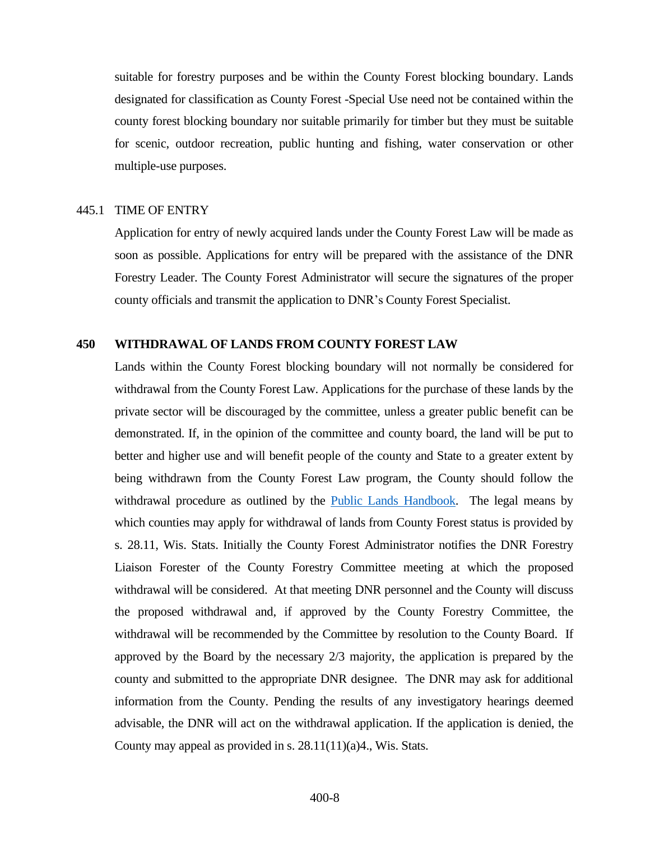suitable for forestry purposes and be within the County Forest blocking boundary. Lands designated for classification as County Forest -Special Use need not be contained within the county forest blocking boundary nor suitable primarily for timber but they must be suitable for scenic, outdoor recreation, public hunting and fishing, water conservation or other multiple-use purposes.

#### <span id="page-7-0"></span>445.1 TIME OF ENTRY

Application for entry of newly acquired lands under the County Forest Law will be made as soon as possible. Applications for entry will be prepared with the assistance of the DNR Forestry Leader. The County Forest Administrator will secure the signatures of the proper county officials and transmit the application to DNR's County Forest Specialist.

# <span id="page-7-1"></span>**450 WITHDRAWAL OF LANDS FROM COUNTY FOREST LAW**

Lands within the County Forest blocking boundary will not normally be considered for withdrawal from the County Forest Law. Applications for the purchase of these lands by the private sector will be discouraged by the committee, unless a greater public benefit can be demonstrated. If, in the opinion of the committee and county board, the land will be put to better and higher use and will benefit people of the county and State to a greater extent by being withdrawn from the County Forest Law program, the County should follow the withdrawal procedure as outlined by the [Public Lands Handbook.](https://dnr.wi.gov/topic/ForestManagement/documents/24605.pdf) The legal means by which counties may apply for withdrawal of lands from County Forest status is provided by s. 28.11, Wis. Stats. Initially the County Forest Administrator notifies the DNR Forestry Liaison Forester of the County Forestry Committee meeting at which the proposed withdrawal will be considered. At that meeting DNR personnel and the County will discuss the proposed withdrawal and, if approved by the County Forestry Committee, the withdrawal will be recommended by the Committee by resolution to the County Board. If approved by the Board by the necessary 2/3 majority, the application is prepared by the county and submitted to the appropriate DNR designee. The DNR may ask for additional information from the County. Pending the results of any investigatory hearings deemed advisable, the DNR will act on the withdrawal application. If the application is denied, the County may appeal as provided in s.  $28.11(11)(a)4$ ., Wis. Stats.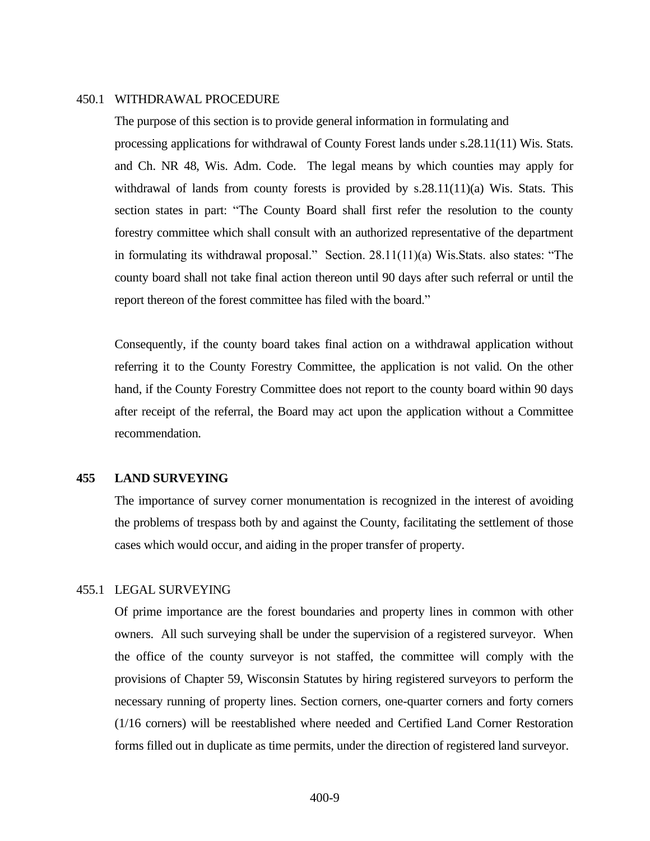#### <span id="page-8-0"></span>450.1 WITHDRAWAL PROCEDURE

The purpose of this section is to provide general information in formulating and processing applications for withdrawal of County Forest lands under s.28.11(11) Wis. Stats. and Ch. NR 48, Wis. Adm. Code. The legal means by which counties may apply for withdrawal of lands from county forests is provided by s.28.11(11)(a) Wis. Stats. This section states in part: "The County Board shall first refer the resolution to the county forestry committee which shall consult with an authorized representative of the department in formulating its withdrawal proposal." Section. 28.11(11)(a) Wis.Stats. also states: "The county board shall not take final action thereon until 90 days after such referral or until the report thereon of the forest committee has filed with the board."

Consequently, if the county board takes final action on a withdrawal application without referring it to the County Forestry Committee, the application is not valid. On the other hand, if the County Forestry Committee does not report to the county board within 90 days after receipt of the referral, the Board may act upon the application without a Committee recommendation.

# <span id="page-8-1"></span>**455 LAND SURVEYING**

The importance of survey corner monumentation is recognized in the interest of avoiding the problems of trespass both by and against the County, facilitating the settlement of those cases which would occur, and aiding in the proper transfer of property.

#### <span id="page-8-2"></span>455.1 LEGAL SURVEYING

Of prime importance are the forest boundaries and property lines in common with other owners. All such surveying shall be under the supervision of a registered surveyor. When the office of the county surveyor is not staffed, the committee will comply with the provisions of Chapter 59, Wisconsin Statutes by hiring registered surveyors to perform the necessary running of property lines. Section corners, one-quarter corners and forty corners (1/16 corners) will be reestablished where needed and Certified Land Corner Restoration forms filled out in duplicate as time permits, under the direction of registered land surveyor.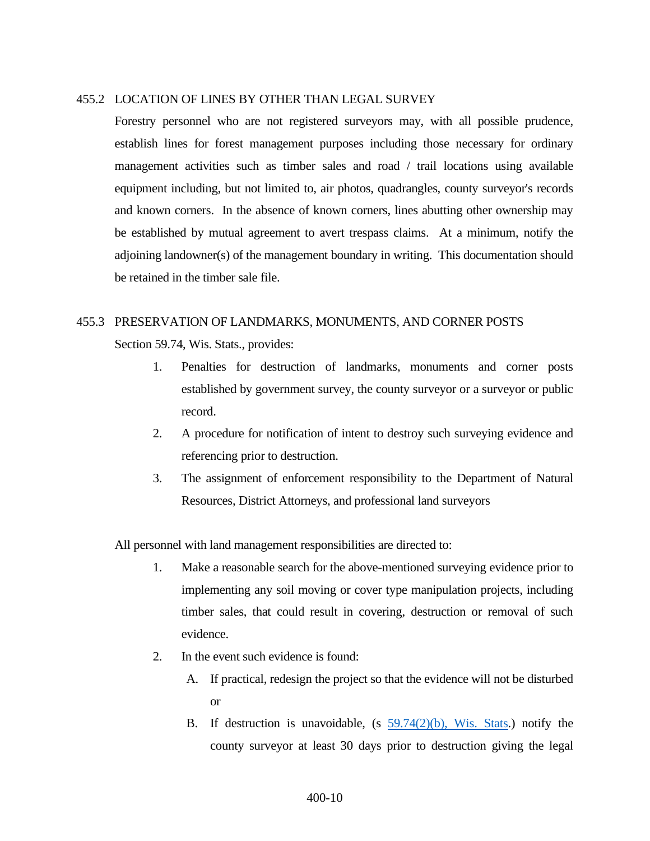## <span id="page-9-0"></span>455.2 LOCATION OF LINES BY OTHER THAN LEGAL SURVEY

Forestry personnel who are not registered surveyors may, with all possible prudence, establish lines for forest management purposes including those necessary for ordinary management activities such as timber sales and road / trail locations using available equipment including, but not limited to, air photos, quadrangles, county surveyor's records and known corners. In the absence of known corners, lines abutting other ownership may be established by mutual agreement to avert trespass claims. At a minimum, notify the adjoining landowner(s) of the management boundary in writing. This documentation should be retained in the timber sale file.

# <span id="page-9-1"></span>455.3 PRESERVATION OF LANDMARKS, MONUMENTS, AND CORNER POSTS

Section 59.74, Wis. Stats., provides:

- 1. Penalties for destruction of landmarks, monuments and corner posts established by government survey, the county surveyor or a surveyor or public record.
- 2. A procedure for notification of intent to destroy such surveying evidence and referencing prior to destruction.
- 3. The assignment of enforcement responsibility to the Department of Natural Resources, District Attorneys, and professional land surveyors

All personnel with land management responsibilities are directed to:

- 1. Make a reasonable search for the above-mentioned surveying evidence prior to implementing any soil moving or cover type manipulation projects, including timber sales, that could result in covering, destruction or removal of such evidence.
- 2. In the event such evidence is found:
	- A. If practical, redesign the project so that the evidence will not be disturbed or
	- B. If destruction is unavoidable,  $(s, 59.74(2)(b), W$ is. Stats.) notify the county surveyor at least 30 days prior to destruction giving the legal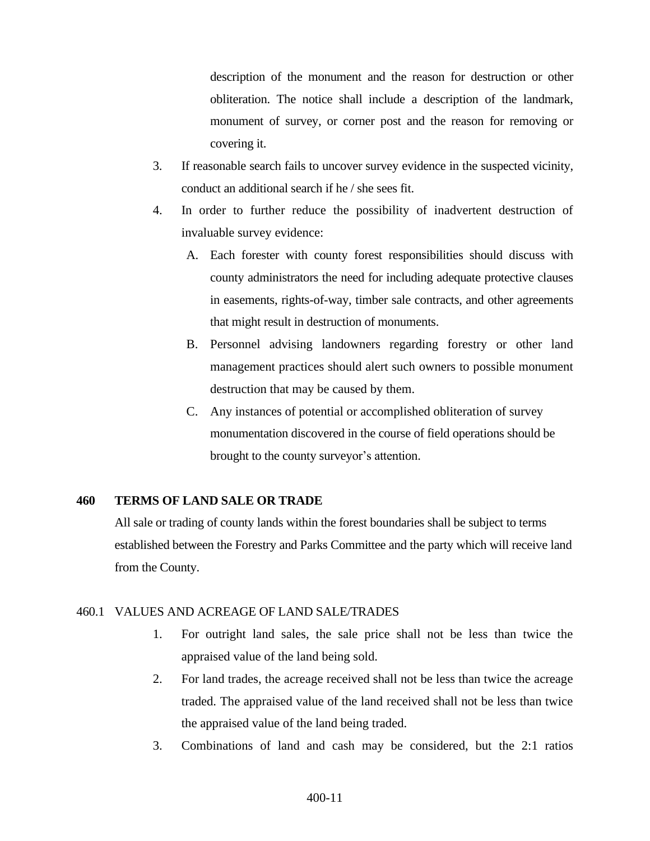description of the monument and the reason for destruction or other obliteration. The notice shall include a description of the landmark, monument of survey, or corner post and the reason for removing or covering it.

- 3. If reasonable search fails to uncover survey evidence in the suspected vicinity, conduct an additional search if he / she sees fit.
- 4. In order to further reduce the possibility of inadvertent destruction of invaluable survey evidence:
	- A. Each forester with county forest responsibilities should discuss with county administrators the need for including adequate protective clauses in easements, rights-of-way, timber sale contracts, and other agreements that might result in destruction of monuments.
	- B. Personnel advising landowners regarding forestry or other land management practices should alert such owners to possible monument destruction that may be caused by them.
	- C. Any instances of potential or accomplished obliteration of survey monumentation discovered in the course of field operations should be brought to the county surveyor's attention.

# <span id="page-10-0"></span>**460 TERMS OF LAND SALE OR TRADE**

All sale or trading of county lands within the forest boundaries shall be subject to terms established between the Forestry and Parks Committee and the party which will receive land from the County.

## <span id="page-10-1"></span>460.1 VALUES AND ACREAGE OF LAND SALE/TRADES

- 1. For outright land sales, the sale price shall not be less than twice the appraised value of the land being sold.
- 2. For land trades, the acreage received shall not be less than twice the acreage traded. The appraised value of the land received shall not be less than twice the appraised value of the land being traded.
- 3. Combinations of land and cash may be considered, but the 2:1 ratios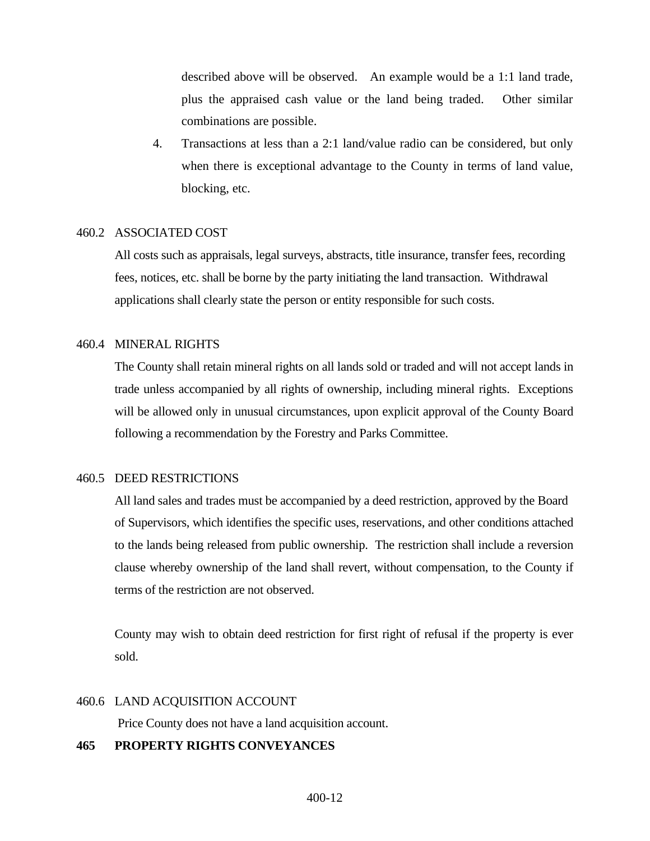described above will be observed. An example would be a 1:1 land trade, plus the appraised cash value or the land being traded. Other similar combinations are possible.

4. Transactions at less than a 2:1 land/value radio can be considered, but only when there is exceptional advantage to the County in terms of land value, blocking, etc.

## <span id="page-11-0"></span>460.2 ASSOCIATED COST

All costs such as appraisals, legal surveys, abstracts, title insurance, transfer fees, recording fees, notices, etc. shall be borne by the party initiating the land transaction. Withdrawal applications shall clearly state the person or entity responsible for such costs.

## <span id="page-11-1"></span>460.4 MINERAL RIGHTS

The County shall retain mineral rights on all lands sold or traded and will not accept lands in trade unless accompanied by all rights of ownership, including mineral rights. Exceptions will be allowed only in unusual circumstances, upon explicit approval of the County Board following a recommendation by the Forestry and Parks Committee.

# <span id="page-11-2"></span>460.5 DEED RESTRICTIONS

All land sales and trades must be accompanied by a deed restriction, approved by the Board of Supervisors, which identifies the specific uses, reservations, and other conditions attached to the lands being released from public ownership. The restriction shall include a reversion clause whereby ownership of the land shall revert, without compensation, to the County if terms of the restriction are not observed.

County may wish to obtain deed restriction for first right of refusal if the property is ever sold.

## <span id="page-11-3"></span>460.6 LAND ACQUISITION ACCOUNT

Price County does not have a land acquisition account.

## <span id="page-11-4"></span>**465 PROPERTY RIGHTS CONVEYANCES**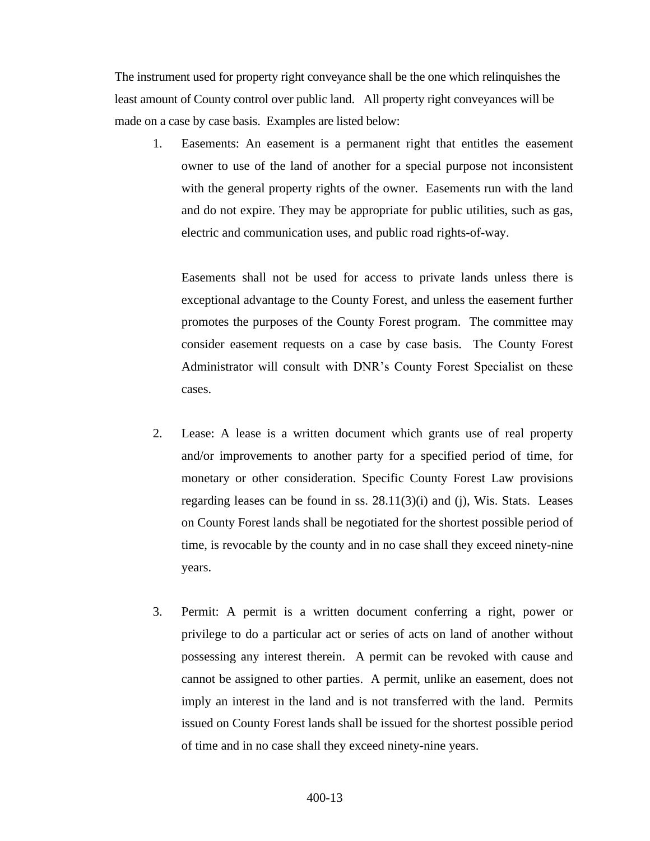The instrument used for property right conveyance shall be the one which relinquishes the least amount of County control over public land. All property right conveyances will be made on a case by case basis. Examples are listed below:

1. Easements: An easement is a permanent right that entitles the easement owner to use of the land of another for a special purpose not inconsistent with the general property rights of the owner. Easements run with the land and do not expire. They may be appropriate for public utilities, such as gas, electric and communication uses, and public road rights-of-way.

Easements shall not be used for access to private lands unless there is exceptional advantage to the County Forest, and unless the easement further promotes the purposes of the County Forest program. The committee may consider easement requests on a case by case basis. The County Forest Administrator will consult with DNR's County Forest Specialist on these cases.

- 2. Lease: A lease is a written document which grants use of real property and/or improvements to another party for a specified period of time, for monetary or other consideration. Specific County Forest Law provisions regarding leases can be found in ss. 28.11(3)(i) and (j), Wis. Stats. Leases on County Forest lands shall be negotiated for the shortest possible period of time, is revocable by the county and in no case shall they exceed ninety-nine years.
- 3. Permit: A permit is a written document conferring a right, power or privilege to do a particular act or series of acts on land of another without possessing any interest therein. A permit can be revoked with cause and cannot be assigned to other parties. A permit, unlike an easement, does not imply an interest in the land and is not transferred with the land. Permits issued on County Forest lands shall be issued for the shortest possible period of time and in no case shall they exceed ninety-nine years.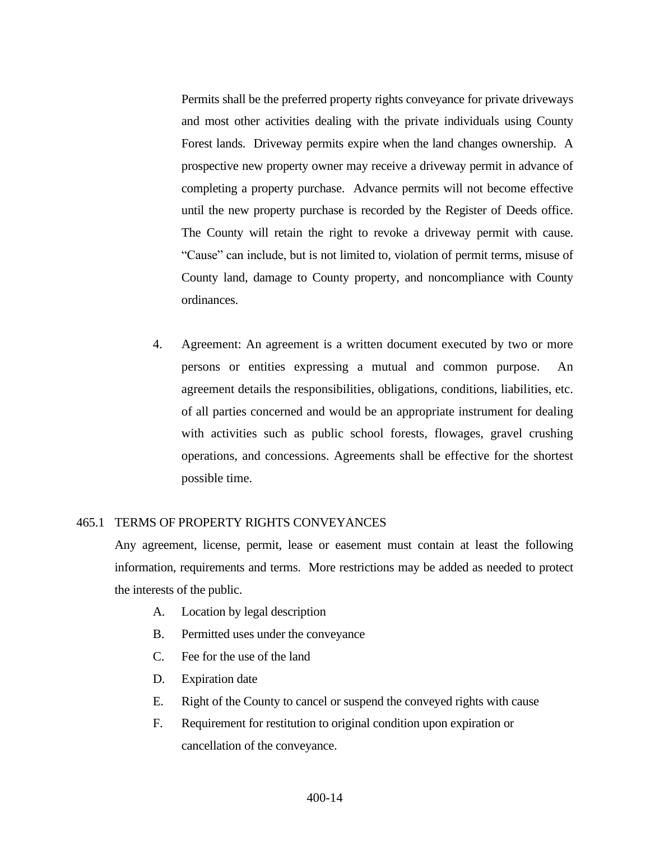Permits shall be the preferred property rights conveyance for private driveways and most other activities dealing with the private individuals using County Forest lands. Driveway permits expire when the land changes ownership. A prospective new property owner may receive a driveway permit in advance of completing a property purchase. Advance permits will not become effective until the new property purchase is recorded by the Register of Deeds office. The County will retain the right to revoke a driveway permit with cause. "Cause" can include, but is not limited to, violation of permit terms, misuse of County land, damage to County property, and noncompliance with County ordinances.

4. Agreement: An agreement is a written document executed by two or more persons or entities expressing a mutual and common purpose. An agreement details the responsibilities, obligations, conditions, liabilities, etc. of all parties concerned and would be an appropriate instrument for dealing with activities such as public school forests, flowages, gravel crushing operations, and concessions. Agreements shall be effective for the shortest possible time.

#### <span id="page-13-0"></span>465.1 TERMS OF PROPERTY RIGHTS CONVEYANCES

Any agreement, license, permit, lease or easement must contain at least the following information, requirements and terms. More restrictions may be added as needed to protect the interests of the public.

- A. Location by legal description
- B. Permitted uses under the conveyance
- C. Fee for the use of the land
- D. Expiration date
- E. Right of the County to cancel or suspend the conveyed rights with cause
- F. Requirement for restitution to original condition upon expiration or cancellation of the conveyance.